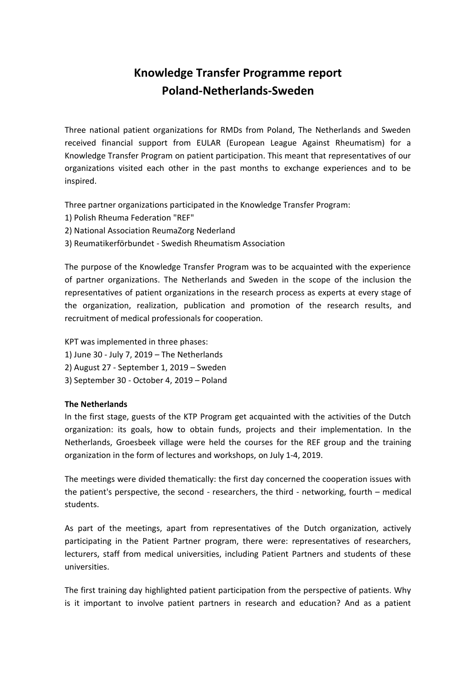# **Knowledge Transfer Programme report Poland-Netherlands-Sweden**

Three national patient organizations for RMDs from Poland, The Netherlands and Sweden received financial support from EULAR (European League Against Rheumatism) for a Knowledge Transfer Program on patient participation. This meant that representatives of our organizations visited each other in the past months to exchange experiences and to be inspired.

Three partner organizations participated in the Knowledge Transfer Program:

- 1) Polish Rheuma Federation "REF"
- 2) National Association ReumaZorg Nederland
- 3) Reumatikerförbundet Swedish Rheumatism Association

The purpose of the Knowledge Transfer Program was to be acquainted with the experience of partner organizations. The Netherlands and Sweden in the scope of the inclusion the representatives of patient organizations in the research process as experts at every stage of the organization, realization, publication and promotion of the research results, and recruitment of medical professionals for cooperation.

- KPT was implemented in three phases:
- 1) June 30 July 7, 2019 The Netherlands
- 2) August 27 September 1, 2019 Sweden
- 3) September 30 October 4, 2019 Poland

# **The Netherlands**

In the first stage, guests of the KTP Program get acquainted with the activities of the Dutch organization: its goals, how to obtain funds, projects and their implementation. In the Netherlands, Groesbeek village were held the courses for the REF group and the training organization in the form of lectures and workshops, on July 1-4, 2019.

The meetings were divided thematically: the first day concerned the cooperation issues with the patient's perspective, the second - researchers, the third - networking, fourth – medical students.

As part of the meetings, apart from representatives of the Dutch organization, actively participating in the Patient Partner program, there were: representatives of researchers, lecturers, staff from medical universities, including Patient Partners and students of these universities.

The first training day highlighted patient participation from the perspective of patients. Why is it important to involve patient partners in research and education? And as a patient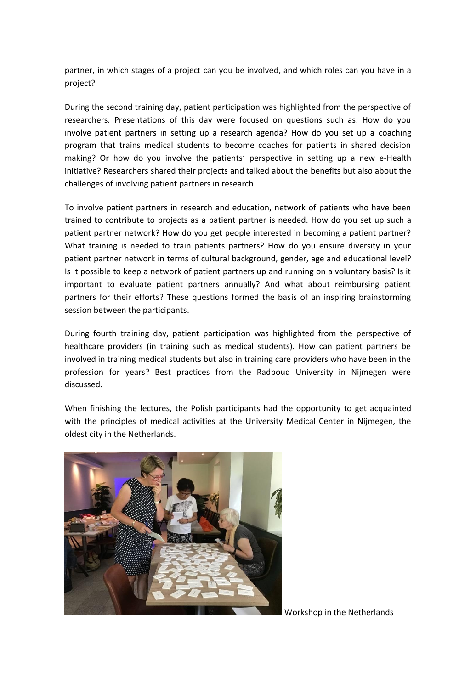partner, in which stages of a project can you be involved, and which roles can you have in a project?

During the second training day, patient participation was highlighted from the perspective of researchers. Presentations of this day were focused on questions such as: How do you involve patient partners in setting up a research agenda? How do you set up a coaching program that trains medical students to become coaches for patients in shared decision making? Or how do you involve the patients' perspective in setting up a new e-Health initiative? Researchers shared their projects and talked about the benefits but also about the challenges of involving patient partners in research

To involve patient partners in research and education, network of patients who have been trained to contribute to projects as a patient partner is needed. How do you set up such a patient partner network? How do you get people interested in becoming a patient partner? What training is needed to train patients partners? How do you ensure diversity in your patient partner network in terms of cultural background, gender, age and educational level? Is it possible to keep a network of patient partners up and running on a voluntary basis? Is it important to evaluate patient partners annually? And what about reimbursing patient partners for their efforts? These questions formed the basis of an inspiring brainstorming session between the participants.

During fourth training day, patient participation was highlighted from the perspective of healthcare providers (in training such as medical students). How can patient partners be involved in training medical students but also in training care providers who have been in the profession for years? Best practices from the Radboud University in Nijmegen were discussed.

When finishing the lectures, the Polish participants had the opportunity to get acquainted with the principles of medical activities at the University Medical Center in Nijmegen, the oldest city in the Netherlands.



Workshop in the Netherlands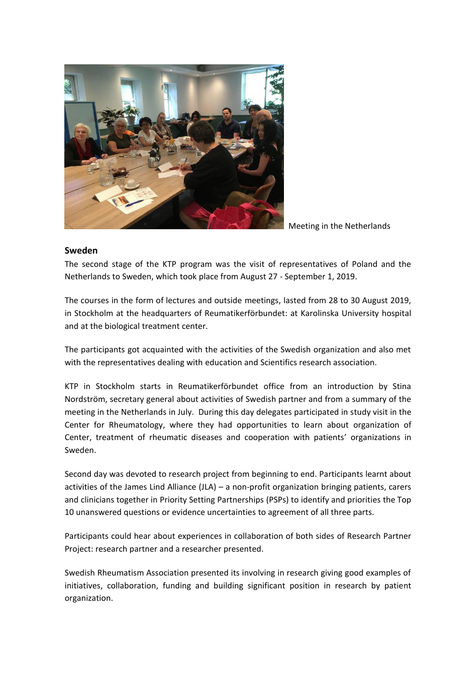

Meeting in the Netherlands

# **Sweden**

The second stage of the KTP program was the visit of representatives of Poland and the Netherlands to Sweden, which took place from August 27 - September 1, 2019.

The courses in the form of lectures and outside meetings, lasted from 28 to 30 August 2019, in Stockholm at the headquarters of Reumatikerförbundet: at Karolinska University hospital and at the biological treatment center.

The participants got acquainted with the activities of the Swedish organization and also met with the representatives dealing with education and Scientifics research association.

KTP in Stockholm starts in Reumatikerförbundet office from an introduction by Stina Nordström, secretary general about activities of Swedish partner and from a summary of the meeting in the Netherlands in July. During this day delegates participated in study visit in the Center for Rheumatology, where they had opportunities to learn about organization of Center, treatment of rheumatic diseases and cooperation with patients' organizations in Sweden.

Second day was devoted to research project from beginning to end. Participants learnt about activities of the James Lind Alliance (JLA) – a non-profit organization bringing patients, carers and clinicians together in Priority Setting Partnerships (PSPs) to identify and priorities the Top 10 unanswered questions or evidence uncertainties to agreement of all three parts.

Participants could hear about experiences in collaboration of both sides of Research Partner Project: research partner and a researcher presented.

Swedish Rheumatism Association presented its involving in research giving good examples of initiatives, collaboration, funding and building significant position in research by patient organization.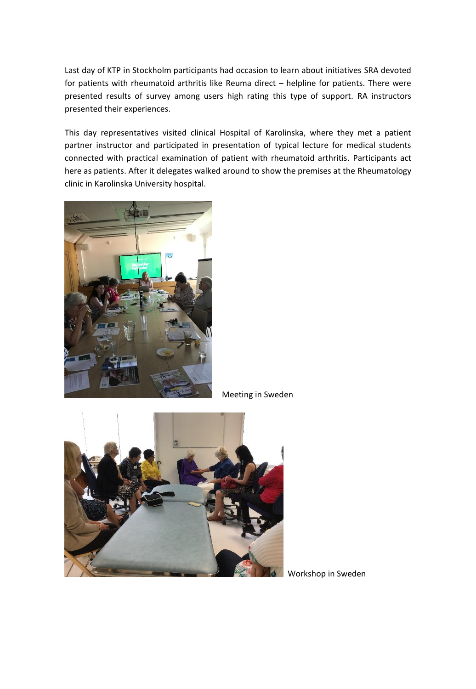Last day of KTP in Stockholm participants had occasion to learn about initiatives SRA devoted for patients with rheumatoid arthritis like Reuma direct – helpline for patients. There were presented results of survey among users high rating this type of support. RA instructors presented their experiences.

This day representatives visited clinical Hospital of Karolinska, where they met a patient partner instructor and participated in presentation of typical lecture for medical students connected with practical examination of patient with rheumatoid arthritis. Participants act here as patients. After it delegates walked around to show the premises at the Rheumatology clinic in Karolinska University hospital.



Meeting in Sweden



Workshop in Sweden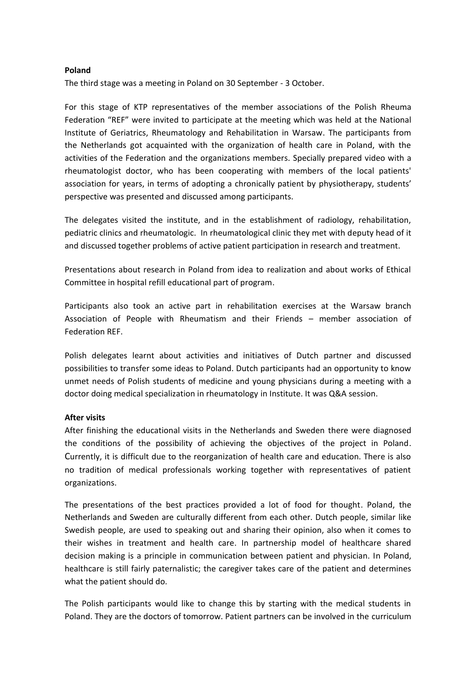# **Poland**

The third stage was a meeting in Poland on 30 September - 3 October.

For this stage of KTP representatives of the member associations of the Polish Rheuma Federation "REF" were invited to participate at the meeting which was held at the National Institute of Geriatrics, Rheumatology and Rehabilitation in Warsaw. The participants from the Netherlands got acquainted with the organization of health care in Poland, with the activities of the Federation and the organizations members. Specially prepared video with a rheumatologist doctor, who has been cooperating with members of the local patients' association for years, in terms of adopting a chronically patient by physiotherapy, students' perspective was presented and discussed among participants.

The delegates visited the institute, and in the establishment of radiology, rehabilitation, pediatric clinics and rheumatologic. In rheumatological clinic they met with deputy head of it and discussed together problems of active patient participation in research and treatment.

Presentations about research in Poland from idea to realization and about works of Ethical Committee in hospital refill educational part of program.

Participants also took an active part in rehabilitation exercises at the Warsaw branch Association of People with Rheumatism and their Friends – member association of Federation REF.

Polish delegates learnt about activities and initiatives of Dutch partner and discussed possibilities to transfer some ideas to Poland. Dutch participants had an opportunity to know unmet needs of Polish students of medicine and young physicians during a meeting with a doctor doing medical specialization in rheumatology in Institute. It was Q&A session.

# **After visits**

After finishing the educational visits in the Netherlands and Sweden there were diagnosed the conditions of the possibility of achieving the objectives of the project in Poland. Currently, it is difficult due to the reorganization of health care and education. There is also no tradition of medical professionals working together with representatives of patient organizations.

The presentations of the best practices provided a lot of food for thought. Poland, the Netherlands and Sweden are culturally different from each other. Dutch people, similar like Swedish people, are used to speaking out and sharing their opinion, also when it comes to their wishes in treatment and health care. In partnership model of healthcare shared decision making is a principle in communication between patient and physician. In Poland, healthcare is still fairly paternalistic; the caregiver takes care of the patient and determines what the patient should do.

The Polish participants would like to change this by starting with the medical students in Poland. They are the doctors of tomorrow. Patient partners can be involved in the curriculum